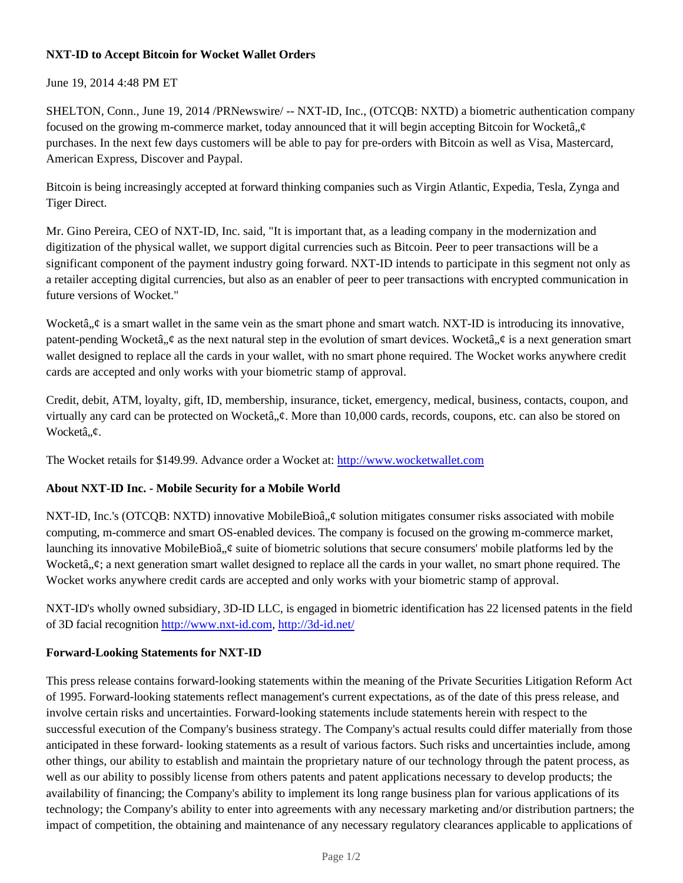## **NXT-ID to Accept Bitcoin for Wocket Wallet Orders**

#### June 19, 2014 4:48 PM ET

SHELTON, Conn., June 19, 2014 /PRNewswire/ -- NXT-ID, Inc., (OTCQB: NXTD) a biometric authentication company focused on the growing m-commerce market, today announced that it will begin accepting Bitcoin for Wocketâ,  $\phi$ purchases. In the next few days customers will be able to pay for pre-orders with Bitcoin as well as Visa, Mastercard, American Express, Discover and Paypal.

Bitcoin is being increasingly accepted at forward thinking companies such as Virgin Atlantic, Expedia, Tesla, Zynga and Tiger Direct.

Mr. Gino Pereira, CEO of NXT-ID, Inc. said, "It is important that, as a leading company in the modernization and digitization of the physical wallet, we support digital currencies such as Bitcoin. Peer to peer transactions will be a significant component of the payment industry going forward. NXT-ID intends to participate in this segment not only as a retailer accepting digital currencies, but also as an enabler of peer to peer transactions with encrypted communication in future versions of Wocket."

Wocketâ,  $\phi$  is a smart wallet in the same vein as the smart phone and smart watch. NXT-ID is introducing its innovative, patent-pending Wocketâ,  $\phi$  as the next natural step in the evolution of smart devices. Wocketâ,  $\phi$  is a next generation smart wallet designed to replace all the cards in your wallet, with no smart phone required. The Wocket works anywhere credit cards are accepted and only works with your biometric stamp of approval.

Credit, debit, ATM, loyalty, gift, ID, membership, insurance, ticket, emergency, medical, business, contacts, coupon, and virtually any card can be protected on Wocketâ,  $\phi$ . More than 10,000 cards, records, coupons, etc. can also be stored on Wocketâ..*¢*.

The Wocket retails for \$149.99. Advance order a Wocket at: http://www.wocketwallet.com

## **About NXT-ID Inc. - Mobile Security for a Mobile World**

NXT-ID, Inc.'s (OTCQB: NXTD) innovative MobileBioâ,  $\phi$  solution mitigates consumer risks associated with mobile computing, m-commerce and smart OS-enabled devices. The company is focused on the growing m-commerce market, launching its innovative MobileBioâ,  $\phi$  suite of biometric solutions that secure consumers' mobile platforms led by the Wocketâ,, $\phi$ ; a next generation smart wallet designed to replace all the cards in your wallet, no smart phone required. The Wocket works anywhere credit cards are accepted and only works with your biometric stamp of approval.

NXT-ID's wholly owned subsidiary, 3D-ID LLC, is engaged in biometric identification has 22 licensed patents in the field of 3D facial recognition http://www.nxt-id.com, http://3d-id.net/

#### **Forward-Looking Statements for NXT-ID**

This press release contains forward-looking statements within the meaning of the Private Securities Litigation Reform Act of 1995. Forward-looking statements reflect management's current expectations, as of the date of this press release, and involve certain risks and uncertainties. Forward-looking statements include statements herein with respect to the successful execution of the Company's business strategy. The Company's actual results could differ materially from those anticipated in these forward- looking statements as a result of various factors. Such risks and uncertainties include, among other things, our ability to establish and maintain the proprietary nature of our technology through the patent process, as well as our ability to possibly license from others patents and patent applications necessary to develop products; the availability of financing; the Company's ability to implement its long range business plan for various applications of its technology; the Company's ability to enter into agreements with any necessary marketing and/or distribution partners; the impact of competition, the obtaining and maintenance of any necessary regulatory clearances applicable to applications of